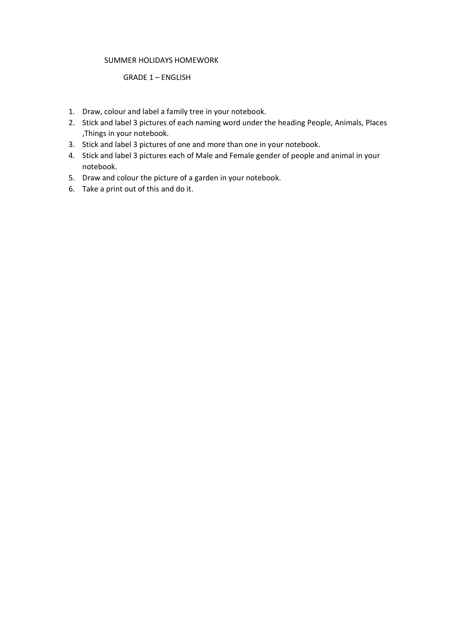#### SUMMER HOLIDAYS HOMEWORK

#### GRADE 1 – ENGLISH

- 1. Draw, colour and label a family tree in your notebook.
- 2. Stick and label 3 pictures of each naming word under the heading People, Animals, Places ,Things in your notebook.
- 3. Stick and label 3 pictures of one and more than one in your notebook.
- 4. Stick and label 3 pictures each of Male and Female gender of people and animal in your notebook.
- 5. Draw and colour the picture of a garden in your notebook.
- 6. Take a print out of this and do it.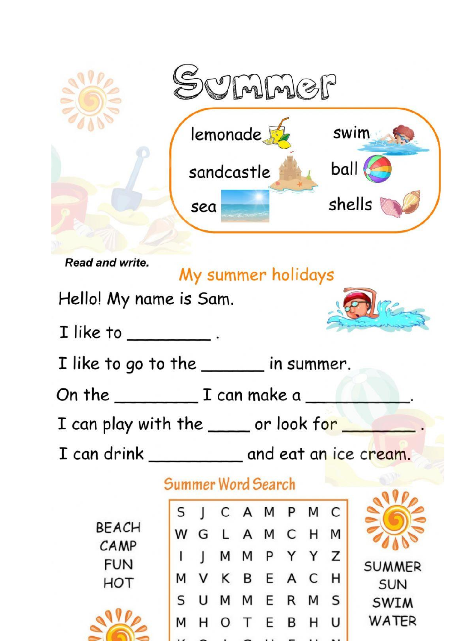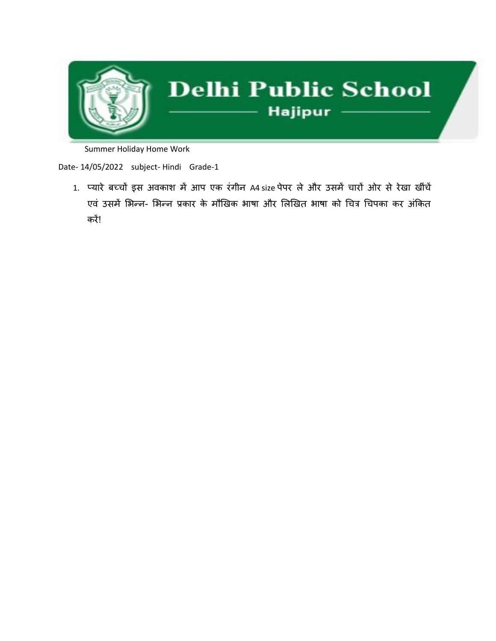

Summer Holiday Home Work

Date- 14/05/2022 subject- Hindi Grade-1

1. प्यारे बच्चों इस अवकाश में आप एक रंगीन A4 size पेपर ले और उसमें चारों ओर से रेखा खींचें एवं उसमें भिन्न- भिन्न प्रकार के मौखिक भाषा और लिखित भाषा को चित्र चिपका कर अंकित करें!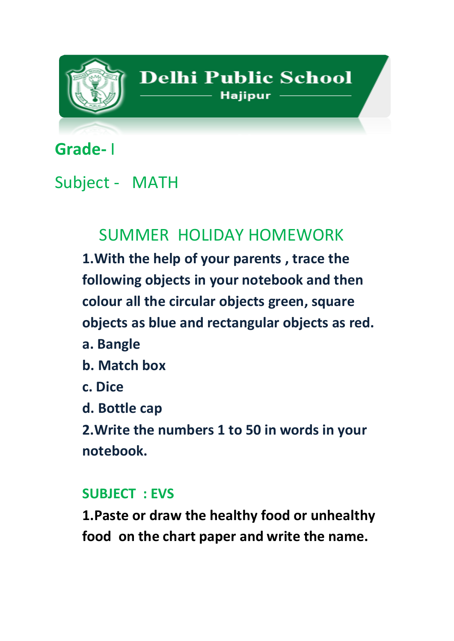

# **Grade-** I

### Subject - MATH

## SUMMER HOLIDAY HOMEWORK

**1.With the help of your parents , trace the following objects in your notebook and then colour all the circular objects green, square objects as blue and rectangular objects as red.**

- **a. Bangle**
- **b. Match box**
- **c. Dice**
- **d. Bottle cap**

**2.Write the numbers 1 to 50 in words in your notebook.**

### **SUBJECT : EVS**

**1.Paste or draw the healthy food or unhealthy food on the chart paper and write the name.**